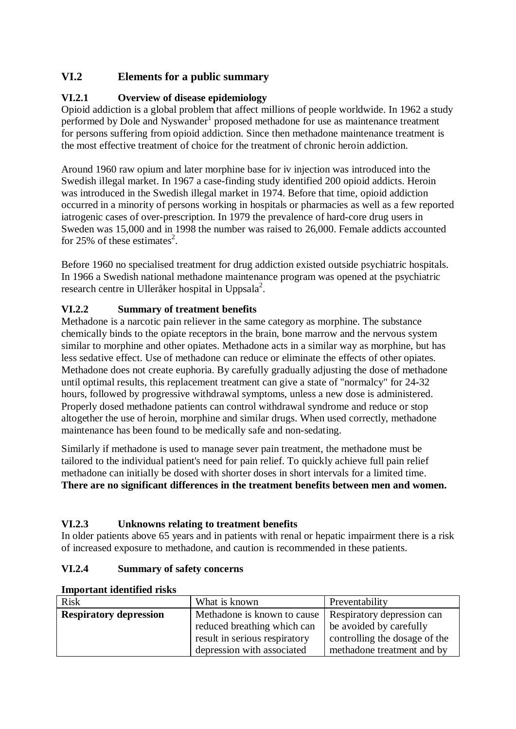## **VI.2 Elements for a public summary**

## **VI.2.1 Overview of disease epidemiology**

Opioid addiction is a global problem that affect millions of people worldwide. In 1962 a study performed by Dole and Nyswander<sup>1</sup> proposed methadone for use as maintenance treatment for persons suffering from opioid addiction. Since then methadone maintenance treatment is the most effective treatment of choice for the treatment of chronic heroin addiction.

Around 1960 raw opium and later morphine base for iv injection was introduced into the Swedish illegal market. In 1967 a case-finding study identified 200 opioid addicts. Heroin was introduced in the Swedish illegal market in 1974. Before that time, opioid addiction occurred in a minority of persons working in hospitals or pharmacies as well as a few reported iatrogenic cases of over-prescription. In 1979 the prevalence of hard-core drug users in Sweden was 15,000 and in 1998 the number was raised to 26,000. Female addicts accounted for 25% of these estimates<sup>2</sup>.

Before 1960 no specialised treatment for drug addiction existed outside psychiatric hospitals. In 1966 a Swedish national methadone maintenance program was opened at the psychiatric research centre in Ulleråker hospital in Uppsala<sup>2</sup>.

## **VI.2.2 Summary of treatment benefits**

Methadone is a narcotic pain reliever in the same category as morphine. The substance chemically binds to the opiate receptors in the brain, bone marrow and the nervous system similar to morphine and other opiates. Methadone acts in a similar way as morphine, but has less sedative effect. Use of methadone can reduce or eliminate the effects of other opiates. Methadone does not create euphoria. By carefully gradually adjusting the dose of methadone until optimal results, this replacement treatment can give a state of "normalcy" for 24-32 hours, followed by progressive withdrawal symptoms, unless a new dose is administered. Properly dosed methadone patients can control withdrawal syndrome and reduce or stop altogether the use of heroin, morphine and similar drugs. When used correctly, methadone maintenance has been found to be medically safe and non-sedating.

Similarly if methadone is used to manage sever pain treatment, the methadone must be tailored to the individual patient's need for pain relief. To quickly achieve full pain relief methadone can initially be dosed with shorter doses in short intervals for a limited time. **There are no significant differences in the treatment benefits between men and women.**

## **VI.2.3 Unknowns relating to treatment benefits**

In older patients above 65 years and in patients with renal or hepatic impairment there is a risk of increased exposure to methadone, and caution is recommended in these patients.

## **VI.2.4 Summary of safety concerns**

| <b>Risk</b>                   | What is known                 | Preventability                |
|-------------------------------|-------------------------------|-------------------------------|
| <b>Respiratory depression</b> | Methadone is known to cause   | Respiratory depression can    |
|                               | reduced breathing which can   | be avoided by carefully       |
|                               | result in serious respiratory | controlling the dosage of the |
|                               | depression with associated    | methadone treatment and by    |

#### **Important identified risks**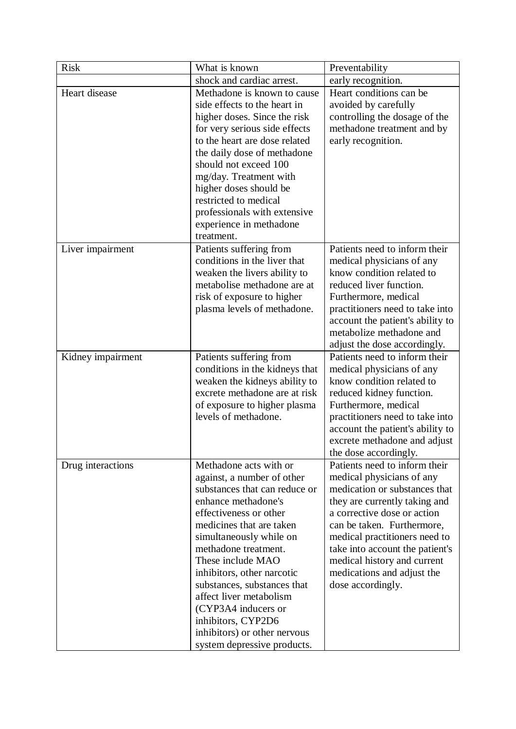| <b>Risk</b>                       | What is known                                                                                                                                                                                                                                                                                                                                                                                                                                  | Preventability                                                                                                                                                                                                                                                                                                                                  |
|-----------------------------------|------------------------------------------------------------------------------------------------------------------------------------------------------------------------------------------------------------------------------------------------------------------------------------------------------------------------------------------------------------------------------------------------------------------------------------------------|-------------------------------------------------------------------------------------------------------------------------------------------------------------------------------------------------------------------------------------------------------------------------------------------------------------------------------------------------|
|                                   | shock and cardiac arrest.                                                                                                                                                                                                                                                                                                                                                                                                                      | early recognition.                                                                                                                                                                                                                                                                                                                              |
| Heart disease<br>Liver impairment | Methadone is known to cause<br>side effects to the heart in<br>higher doses. Since the risk<br>for very serious side effects<br>to the heart are dose related<br>the daily dose of methadone<br>should not exceed 100<br>mg/day. Treatment with<br>higher doses should be<br>restricted to medical<br>professionals with extensive<br>experience in methadone<br>treatment.<br>Patients suffering from                                         | Heart conditions can be<br>avoided by carefully<br>controlling the dosage of the<br>methadone treatment and by<br>early recognition.<br>Patients need to inform their                                                                                                                                                                           |
|                                   | conditions in the liver that<br>weaken the livers ability to<br>metabolise methadone are at<br>risk of exposure to higher<br>plasma levels of methadone.                                                                                                                                                                                                                                                                                       | medical physicians of any<br>know condition related to<br>reduced liver function.<br>Furthermore, medical<br>practitioners need to take into<br>account the patient's ability to<br>metabolize methadone and<br>adjust the dose accordingly.                                                                                                    |
| Kidney impairment                 | Patients suffering from<br>conditions in the kidneys that<br>weaken the kidneys ability to<br>excrete methadone are at risk<br>of exposure to higher plasma<br>levels of methadone.                                                                                                                                                                                                                                                            | Patients need to inform their<br>medical physicians of any<br>know condition related to<br>reduced kidney function.<br>Furthermore, medical<br>practitioners need to take into<br>account the patient's ability to<br>excrete methadone and adjust<br>the dose accordingly.                                                                     |
| Drug interactions                 | Methadone acts with or<br>against, a number of other<br>substances that can reduce or<br>enhance methadone's<br>effectiveness or other<br>medicines that are taken<br>simultaneously while on<br>methadone treatment.<br>These include MAO<br>inhibitors, other narcotic<br>substances, substances that<br>affect liver metabolism<br>(CYP3A4 inducers or<br>inhibitors, CYP2D6<br>inhibitors) or other nervous<br>system depressive products. | Patients need to inform their<br>medical physicians of any<br>medication or substances that<br>they are currently taking and<br>a corrective dose or action<br>can be taken. Furthermore,<br>medical practitioners need to<br>take into account the patient's<br>medical history and current<br>medications and adjust the<br>dose accordingly. |